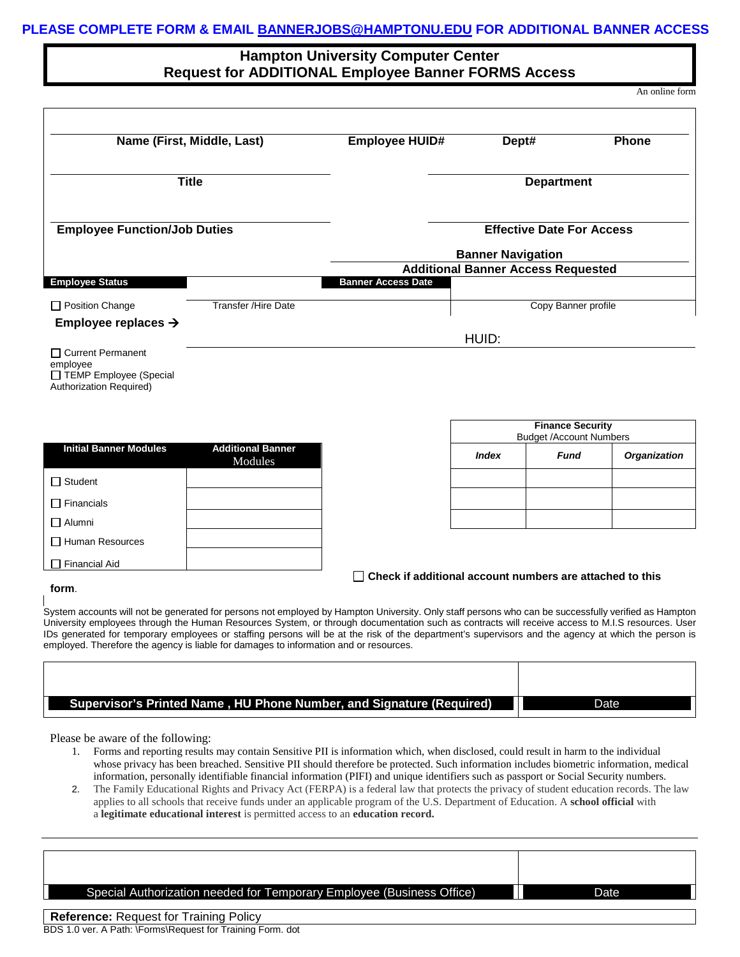## **PLEASE COMPLETE FORM & EMAIL [BANNERJOBS@HAMPTONU.EDU](mailto:BANNERJOBS@HAMPTONU.EDU) FOR ADDITIONAL BANNER ACCESS**

## **Hampton University Computer Center Request for ADDITIONAL Employee Banner FORMS Access**

An online form

| Name (First, Middle, Last)          |                            | <b>Employee HUID#</b>     | Dept#                                     | <b>Phone</b> |
|-------------------------------------|----------------------------|---------------------------|-------------------------------------------|--------------|
| <b>Title</b>                        |                            | <b>Department</b>         |                                           |              |
| <b>Employee Function/Job Duties</b> |                            |                           | <b>Effective Date For Access</b>          |              |
|                                     |                            |                           | <b>Banner Navigation</b>                  |              |
|                                     |                            |                           | <b>Additional Banner Access Requested</b> |              |
| <b>Employee Status</b>              |                            | <b>Banner Access Date</b> |                                           |              |
| $\Box$ Position Change              | <b>Transfer /Hire Date</b> |                           | Copy Banner profile                       |              |
| Employee replaces $\rightarrow$     |                            |                           |                                           |              |
|                                     |                            |                           | HUID:                                     |              |
| Curront Dormonont                   |                            |                           |                                           |              |

□ Current Permanent employee TEMP Employee (Special Authorization Required)

| <b>Initial Banner Modules</b> | <b>Additional Banner</b><br>Modules |
|-------------------------------|-------------------------------------|
| <b>□ Student</b>              |                                     |
| $\Box$ Financials             |                                     |
| □ Alumni                      |                                     |
| $\Box$ Human Resources        |                                     |
| <b>Financial Aid</b>          |                                     |

|                          | <b>Finance Security</b><br><b>Budget /Account Numbers</b> |              |             |                     |
|--------------------------|-----------------------------------------------------------|--------------|-------------|---------------------|
| tional Banner<br>Modules |                                                           | <b>Index</b> | <b>Fund</b> | <b>Organization</b> |
|                          |                                                           |              |             |                     |
|                          |                                                           |              |             |                     |
|                          |                                                           |              |             |                     |

 **Check if additional account numbers are attached to this** 

## **form**.

System accounts will not be generated for persons not employed by Hampton University. Only staff persons who can be successfully verified as Hampton University employees through the Human Resources System, or through documentation such as contracts will receive access to M.I.S resources. User IDs generated for temporary employees or staffing persons will be at the risk of the department's supervisors and the agency at which the person is employed. Therefore the agency is liable for damages to information and or resources.

| Supervisor's Printed Name, HU Phone Number, and Signature (Required) |  |
|----------------------------------------------------------------------|--|

Please be aware of the following:

- 1. Forms and reporting results may contain Sensitive PII is information which, when disclosed, could result in harm to the individual whose privacy has been breached. Sensitive PII should therefore be protected. Such information includes biometric information, medical information, personally identifiable financial information (PIFI) and unique identifiers such as passport or Social Security numbers.
- 2. The Family Educational Rights and Privacy Act (FERPA) is a federal law that protects the privacy of student education records. The law applies to all schools that receive funds under an applicable program of the U.S. Department of Education. A **school official** with a **legitimate educational interest** is permitted access to an **education record.**

| Special Authorization needed for Temporary Employee (Business Office) | Date |
|-----------------------------------------------------------------------|------|
| <b>Reference: Request for Training Policy</b>                         |      |

BDS 1.0 ver. A Path: \Forms\Request for Training Form. dot